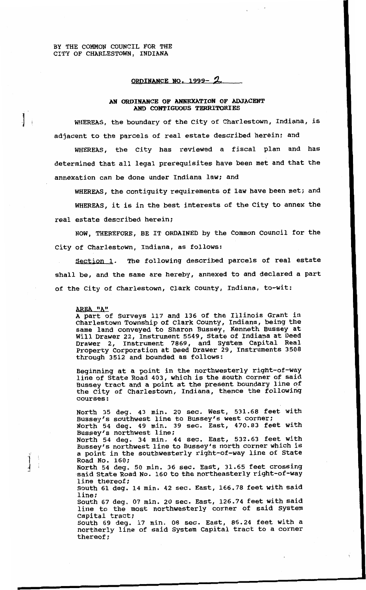$\mathbf{1}^{\mathbf{1}}$ 

## **ORDINAN CE NO. 1999-** *A*

## **AN ORDINANCE OF ANNEXATION OF ADJACENT AND CONTIGUOUS TERRITORIES**

WHEREAS, the boundary of the City of Charlestown, Indiana, is adjacent to the parcels of real estate described herein; and

WHEREAS, the City has reviewed a fiscal plan and has determined that all legal prerequisites have been met and that the annexation can be done under Indiana law; and

WHEREAS, the contiguity requirements of law have been met; and WHEREAS, it is in the best interests of the City to annex the real estate described herein;

NOW, THEREFORE, BE IT ORDAINED by the Common Council for the City of Charlestown, Indiana, as follows:

Section **1.** The following described parcels of real estate shall be, and the same are hereby, annexed to and declared a part of the City of Charlestown, Clark County, Indiana, to-wit:

## EA **"A"**

A part of Surveys **117** and **136** of the Illinois Grant in Charlestown Township of Clark County, Indiana, being the same land conveyed to Sharon Bussey, Kenneth Bussey at Will Drawer **22,** Instrument **5549,** State of Indiana at Deed Drawer **2,** Instrument **7869,** and System Capital Real Property Corporation at Deed Drawer **29,** Instruments **3508**  through **3512** and bounded as follows:

Beginning at a point in the northwesterly right-of-way line of State Road **403,** which is the south corner of said Bussey tract and a point at the present boundary line of the City of Charlestown, Indiana, thence the following courses :

North **35** deg. **43** min. **20** sec. West, **531.68** feet with Bussey's southwest line to Bussey's west corner; North **54** deg. **49** min. **39** sec. East, **470.83** feet with Bussey's northwest line; North **54** deg. **34** min. **44** sec. East, **532.63** feet with Bussey's northwest line to Bussey's north corner which is a point in the southwesterly right-of-way line of State

Road No. **160;**  North **54** deg. **50** min. **36** sec. East, **31.65** feet crossing said State Road No. **160** to the northeasterly right-of-way line thereof;

South **61** deg. **14** min. **42** sec. East, **166.78** feet with said line;

South **67** deg. 07 min. **20** sec. East, **126.74** feet with said line to the most northwesterly corner of said System Capital tract;

South **69** deg. **17** min. **08** sec. East, **86.24** feet with a northerly line of said System Capital tract to a corner thereof: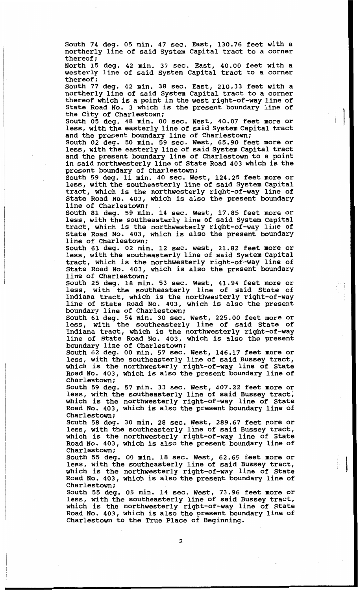South **74** deg. **05** min. **47** sec. East, **130.76** feet with a northerly line of said System Capital tract to a corner thereof ;

North **15** deg. **42** min. **37** sec. East, **40.00** feet with a westerly line of said System Capital tract to a corner thereof;

South **77** deg. **42** min. **38** sec. East, **210.33** feet with a northerly line of said System Capital tract to a corner thereof which is a point in the west right-of-way line of State Road No. **3** which is the present boundary line of the City of Charlestown;

less, with the easterly line of said System Capital tract and the present boundary line of Charlestown; South 05 deg. 48 min. 00 sec. West, 40.07 feet more or **Integrated Western Contract** 

South **02** deg. **50** min. **59** sec. West, **65.90** feet more or less, with the easterly line of said System Capital tract and the present boundary line of Charlestown to a point in said northwesterly line of State Road **403** which is the present boundary of Charlestown:

South **59** deg. 11 min. **40** sec. West, **124.25** feet more or less, with the southeasterly line of said System Capital tract, which is the northwesterly right-of-way line of State Road No. **403,** which is also the present boundary line of Charlestown;

South **81** deg. **59** min. **14** sec. West, **17.85** feet more or less, with the southeasterly line of said System Capital tract, which is the northwesterly right-of-way line of State Road No. **403,** which is also the present boundary line of Charlestown;

South 61 deg. **02** min. **12** sec. west, **21.82** feet more or less, with the southeasterly line of said System Capital tract, which **is** the northwesterly right-of-way line of State Road No. **403,** which is also the present boundary line of Charlestown;

South **25** deg. **18** min. **53** sec. West, **41.94** feet more or less, with the southeasterly line of said State of Indiana tract, which is the northwesterly right-of-way line of State Road No. **403,** which is also the present boundary line of Charlestown;

South 61 deg. **54** min. 30 sec. West, **225.00** feet more or less, with the southeasterly line of said State of Indiana tract, which is the northwesterly right-of-way line of State Road No. **403,** which is also the present boundary line of Charlestown;

South **62** deg. 00 min. **57** sec. West, **146.17** feet more or less, with the southeasterly line of said Bussey tract, which is the northwesterly right-of-way line of State Road No. **403,** which is also the present boundary line of Charlestown;

South **59** deg. **57** min. **33** sec. West, **407.22** feet more or less, with the southeasterly line of said Bussey tract; which is the northwesterly right-of-way line of State Road No. **403,** which is also the present boundary line of Charlestown;

South **58** deg. **30** min. **28** sec. West, **289.67** feet more or less, with the southeasterly line of said Bussey tract, which is the northwesterly right-of-way line of State Road No. **403,** which is also the present boundary line of Charlestown;

South **55** deg. 00 min. **18** sec. West, **62.65** feet more or less, with the southeasterly line of said Bussey tract, which is the northwesterly right-of-way line of State Road No. **403,** which is also the present boundary line of Charlestown;

I

South **55** deg. **05** min. **14** sec. West, **73.96** feet more or less, with the southeasterly line of said Bussey tract, which is the northwesterly right-of-way line of State Road No. **403,** which is also the present boundary line of Charlestown to the True Place of Beginning.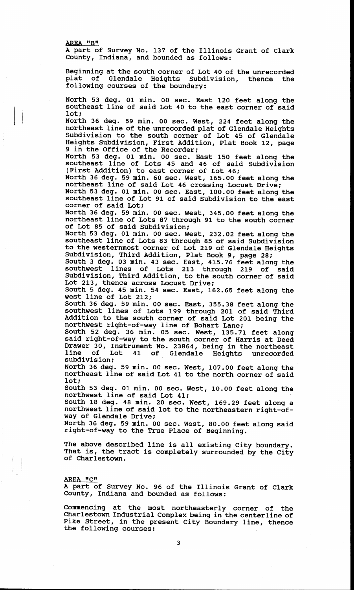**AREA "B"** 

**I** 

**A part of Survey No. 137 of the Illinois Grant of Clark County, Indiana, and bounded as follows:** 

**Beginning at the south corner of Lot 40 of the unrecorded plat of Glendale Heights Subdivision, thence the following courses of the boundary:** 

**North 53 deg. 01 min. 00 sec. East 120 feet along the southeast line of said Lot 40 to the east corner of said lot;** 

**North 36 deg. 59 min. 00 sec. West, 224 feet along the northeast line of the unrecorded plat of Glendale Heights Subdivision to the south corner of Lot 45 of Glendale Heights Subdivision, First Addition, Plat Book 12, page 9 in the Office of the Recorder;** 

**North 53 deg. 01 min. 00 sec. East 150 feet along the southeast line of Lots 45 and 46 of said Subdivision (First Addition) to east corner of Lot 46;** 

**North 36 deg. 59 min. 60 sec. West, 165.00 feet along the northeast line of said Lot 46 crossing Locust Drive;** 

**North 53 deg. 01 min. 00 sec. East, 100.00 feet along the southeast line of Lot 91 of said Subdivision to the east corner of said Lot:** 

**North 36 deg. 59 min. 00 sec. West, 345.00 feet along the northeast line of Lots 87 through 91 to the south corner of Lot 85 of said Subdivision;** 

**North 53 deg. 01 min. 00 sec. West, 232.02 feet along the southeast line of Lots 83 through 85 of said Subdivision to the westernmost corner of Lot 219 of Glendale Heights Subdivision, Third Addition, Plat Book 9, page 28;** 

**South 3 deg. 03 min. 43 sec. East, 415.76 feet along the southwest lines of Lots 213 through 219 of said Subdivision, Third Addition, to the south corner of said Lot 213, thence across Locust Drive;** 

**South 5 deg. 45 min. 54 sec. East, 162.65 feet along the west line of Lot 212;** 

**South 36 deg. 59 min. 00 sec. East, 355.38 feet along the southwest lines of Lots 199 through 201 of said Third Addition to the south corner of said Lot 201 being the northwest right-of-way line of Bohart Lane;** 

**South 52 deg. 36 min. 05 sec. West, 135.71 feet along said right-of-way to the south corner of Harris at Deed Drawer 30, Instrument No. 23864, being in the northeast line of Lot 41 of Glendale Heights unrecorded subdivision;** 

**North 36 deg. 59 min. 00 sec. West, 107.00 feet along the northeast line of said Lot 41 to the north corner of said lot;** 

**South 53 deg. 01 min. 00 sec. West, 10.00 feet along the northwest line of said Lot 41;** 

**South 18 deg. 48 min. 20 sec. West, 169.29 feet along a northwest line of said lot to the northeastern right-ofway of Glendale Drive;** 

**North 36 deg. 59 min. 00 sec. West, 80.00 feet along said right-of-way to the True Place of Beginning.** 

**The above described line is all existing City boundary. That is, the tract is completely surrounded by the City of Charlestown.** 

**AREA "C"** 

**A part of Survey No. 96 of the Illinois Grant of Clark County, Indiana and bounded as follows:** 

**Commencing at the most northeasterly corner of the Charlestown Industrial Complex being in the centerline of Pike Street, in the present City Boundary line, thence the following courses:**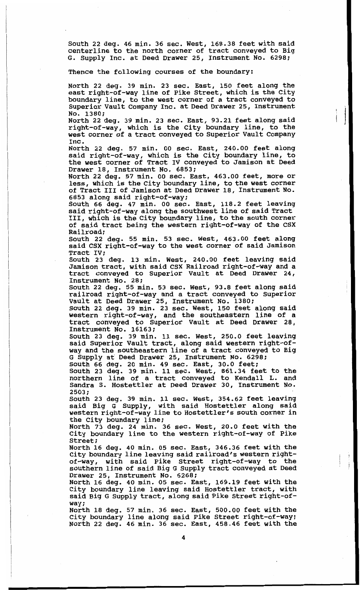**South 22 deg. 46 min. 36 sec. West, 168.38 feet with said centerline to the north corner of tract conveyed to Big G. Supply Inc. at Deed Drawer 25, Instrument No. 6298;** 

**Thence the following courses of the boundary:** 

**North 22 deg. 39 min. 23 sec. East, 150 feet along the east right-of-way line of Pike Street, which is the City boundary line, to the west corner of a tract conveyed to Superior Vault Company Inc. at Deed Drawer 25, Instrument No. 1380;** 

**North 22 deg. 39 min. 23 sec. East, 93.21 feet along said right-of-way, which is the City boundary line, to the west corner of a tract conveyed to Superior Vault Company Inc.** 

**North 22 deg. 57 min. 00 sec. East, 240.00 feet along said right-of-way, which is the City boundary line, to the west corner of Tract IV conveyed to Jamison at Deed Drawer 18, Instrument No. 6853;** 

**North 22 deg. 57 min. 00 sec. East, 463.00 feet, more or less, which is the City boundary line, to the west corner of Tract III of Jamison at Deed Drawer 18, Instrument No. 6853 along said right-of-way;** 

**South 66 deg. 47 min. 00 sec. East, 118.2 feet leaving said right-of-way along the southwest line of said Tract III, which is the City boundary line, to the south corner of said tract being the western right-of-way of the CSX Railroad** ;

**South 22 deg. 55 min. 53 sec. West, 463.00 feet along said CSX right-of-way to the west corner of said Jamison Tract IV;** 

**South 23 deg. 13 min. West, 240.00 feet leaving said Jamison tract, with said CSX Railroad right-of-way and a tract conveyed to Superior Vault at Deed Drawer 24, Instrument No. 28;** 

**South 22 deg. 55 min. 53 sec. West, 93.8 feet along said railroad right-of-way and a tract conveyed to Superior Vault at Deed Drawer 25, Instrument No. 1380;** 

**South 22 deg. 39 min. 23 sec. West, 150 feet along said western right-of-way, and the southeastern line of a tract conveyed to Superior Vault at Deed Drawer 28, Instrument No. 16163;** 

**South 23 deg. 39 min. 11 sec. West, 250.0 feet leaving said Superior Vault tract, along said western right-ofway and the southeastern line of a tract conveyed to Big G Supply at Deed Drawer 25, Instrument No. 6298;** 

**South 66 deg. 20 min. 49 sec. East, 30.0 feet;** 

**South 23 deg. 39 min. 11 sec. West, 861.34 feet to the northern line of a tract conveyed to Kendall L. and Sandra S. Hostettler at Deed Drawer 30, Instrument No. 2503;** 

**South 23 deg. 39 min. 11 sec. West, 354.62 feet leaving said Big G Supply, with said Hostettler along said western right-of-way line to Hostettler's south corner in the City boundary line;** 

**North 73 deg. 24 min. 36 sec. West, 20.0 feet with the City boundary line to the western right-of-way of Pike Street;** 

**North 16 deg. 40 min. 05 sec. East, 346.36 feet with the City boundary line leaving said railroad's western rightof-way, with said Pike Street right-of-way to the southern line of said Big G Supply tract conveyed at Deed Drawer 25, Instrument No. 6268;** 

 $\cdot$   $\cdot$   $\cdot$   $\cdot$ 

**North 16 deg. 40 min. 05 sec. East, 169.19 feet with the City boundary line leaving said Hostettler tract, with said Big G Supply tract, along said Pike Street right-ofway;** 

**North 18 deg. 57 min. 36 sec. East, 500.00 feet with the City boundary line along said Pike Street right-of-way; North 22 deg. 46 min. 36 sec. East, 458.46 feet with the**